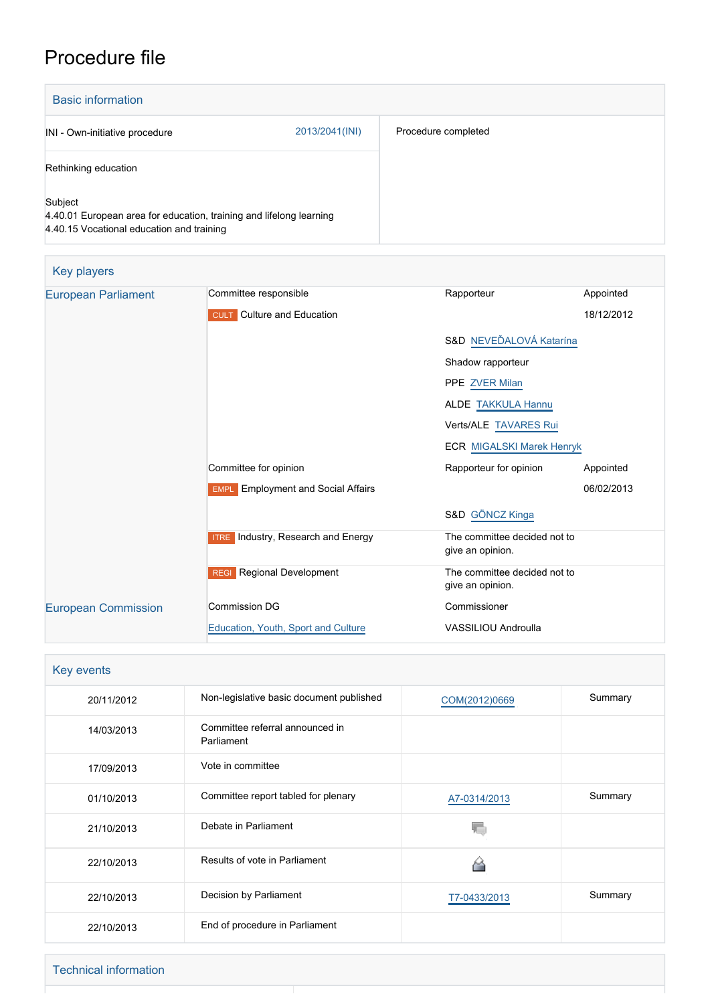# Procedure file

| <b>Basic information</b>                                                                                                    |                |                     |
|-----------------------------------------------------------------------------------------------------------------------------|----------------|---------------------|
| INI - Own-initiative procedure                                                                                              | 2013/2041(INI) | Procedure completed |
| Rethinking education                                                                                                        |                |                     |
| Subject<br>4.40.01 European area for education, training and lifelong learning<br>4.40.15 Vocational education and training |                |                     |

| Key players                |                                           |                                                  |            |
|----------------------------|-------------------------------------------|--------------------------------------------------|------------|
| <b>European Parliament</b> | Committee responsible                     | Rapporteur                                       | Appointed  |
|                            | <b>CULT</b> Culture and Education         |                                                  | 18/12/2012 |
|                            |                                           | S&D NEVEĎALOVÁ Katarína                          |            |
|                            |                                           | Shadow rapporteur                                |            |
|                            |                                           | PPE ZVER Milan                                   |            |
|                            |                                           | <b>ALDE TAKKULA Hannu</b>                        |            |
|                            |                                           | Verts/ALE TAVARES Rui                            |            |
|                            |                                           | <b>ECR MIGALSKI Marek Henryk</b>                 |            |
|                            | Committee for opinion                     | Rapporteur for opinion                           | Appointed  |
|                            | <b>EMPL</b> Employment and Social Affairs |                                                  | 06/02/2013 |
|                            |                                           | S&D GÖNCZ Kinga                                  |            |
|                            | <b>ITRE</b> Industry, Research and Energy | The committee decided not to<br>give an opinion. |            |
|                            | Regional Development<br><b>REGI</b>       | The committee decided not to<br>give an opinion. |            |
| <b>European Commission</b> | <b>Commission DG</b>                      | Commissioner                                     |            |
|                            | Education, Youth, Sport and Culture       | <b>VASSILIOU Androulla</b>                       |            |

| Key events |                                               |               |         |
|------------|-----------------------------------------------|---------------|---------|
| 20/11/2012 | Non-legislative basic document published      | COM(2012)0669 | Summary |
| 14/03/2013 | Committee referral announced in<br>Parliament |               |         |
| 17/09/2013 | Vote in committee                             |               |         |
| 01/10/2013 | Committee report tabled for plenary           | A7-0314/2013  | Summary |
| 21/10/2013 | Debate in Parliament                          |               |         |
| 22/10/2013 | Results of vote in Parliament                 |               |         |
| 22/10/2013 | Decision by Parliament                        | T7-0433/2013  | Summary |
| 22/10/2013 | End of procedure in Parliament                |               |         |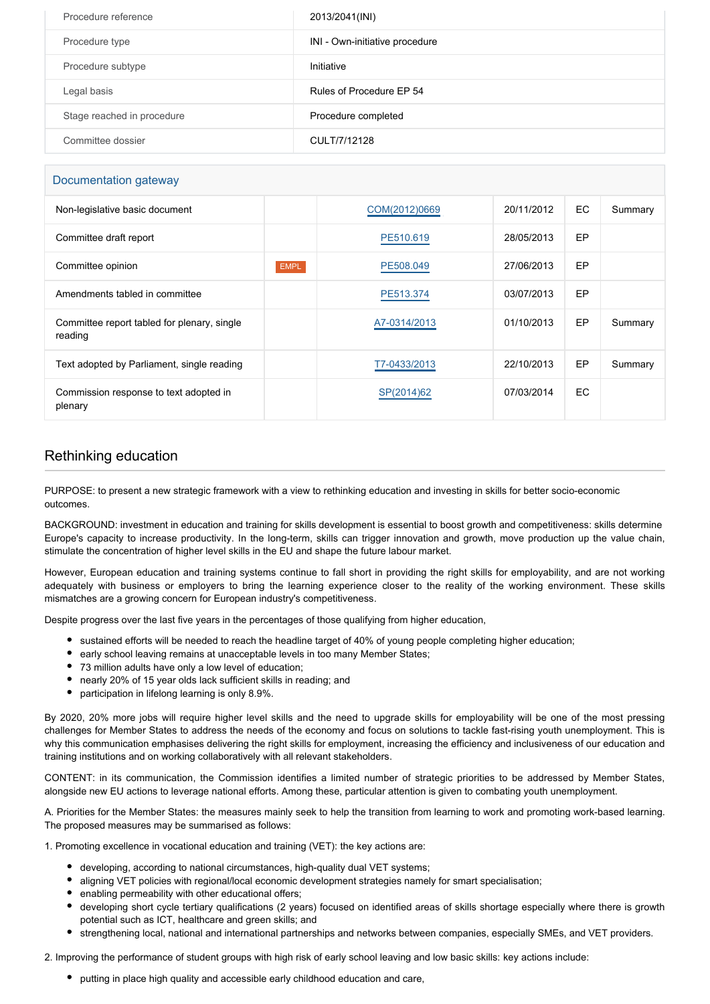| Procedure reference        | 2013/2041(INI)                 |
|----------------------------|--------------------------------|
| Procedure type             | INI - Own-initiative procedure |
| Procedure subtype          | Initiative                     |
| Legal basis                | Rules of Procedure EP 54       |
| Stage reached in procedure | Procedure completed            |
| Committee dossier          | CULT/7/12128                   |

#### Documentation gateway

| Non-legislative basic document                         |             | COM(2012)0669 | 20/11/2012 | <b>EC</b> | Summary |
|--------------------------------------------------------|-------------|---------------|------------|-----------|---------|
| Committee draft report                                 |             | PE510.619     | 28/05/2013 | <b>EP</b> |         |
| Committee opinion                                      | <b>EMPL</b> | PE508.049     | 27/06/2013 | <b>EP</b> |         |
| Amendments tabled in committee                         |             | PE513.374     | 03/07/2013 | EP        |         |
| Committee report tabled for plenary, single<br>reading |             | A7-0314/2013  | 01/10/2013 | EP        | Summary |
| Text adopted by Parliament, single reading             |             | T7-0433/2013  | 22/10/2013 | EP        | Summary |
| Commission response to text adopted in<br>plenary      |             | SP(2014)62    | 07/03/2014 | EC.       |         |

### Rethinking education

PURPOSE: to present a new strategic framework with a view to rethinking education and investing in skills for better socio-economic outcomes.

BACKGROUND: investment in education and training for skills development is essential to boost growth and competitiveness: skills determine Europe's capacity to increase productivity. In the long-term, skills can trigger innovation and growth, move production up the value chain, stimulate the concentration of higher level skills in the EU and shape the future labour market.

However, European education and training systems continue to fall short in providing the right skills for employability, and are not working adequately with business or employers to bring the learning experience closer to the reality of the working environment. These skills mismatches are a growing concern for European industry's competitiveness.

Despite progress over the last five years in the percentages of those qualifying from higher education,

- sustained efforts will be needed to reach the headline target of 40% of young people completing higher education;
- early school leaving remains at unacceptable levels in too many Member States;
- 73 million adults have only a low level of education;
- nearly 20% of 15 year olds lack sufficient skills in reading; and
- participation in lifelong learning is only 8.9%.

By 2020, 20% more jobs will require higher level skills and the need to upgrade skills for employability will be one of the most pressing challenges for Member States to address the needs of the economy and focus on solutions to tackle fast-rising youth unemployment. This is why this communication emphasises delivering the right skills for employment, increasing the efficiency and inclusiveness of our education and training institutions and on working collaboratively with all relevant stakeholders.

CONTENT: in its communication, the Commission identifies a limited number of strategic priorities to be addressed by Member States, alongside new EU actions to leverage national efforts. Among these, particular attention is given to combating youth unemployment.

A. Priorities for the Member States: the measures mainly seek to help the transition from learning to work and promoting work-based learning. The proposed measures may be summarised as follows:

1. Promoting excellence in vocational education and training (VET): the key actions are:

- developing, according to national circumstances, high-quality dual VET systems;
- aligning VET policies with regional/local economic development strategies namely for smart specialisation;
- enabling permeability with other educational offers;
- developing short cycle tertiary qualifications (2 years) focused on identified areas of skills shortage especially where there is growth potential such as ICT, healthcare and green skills; and
- strengthening local, national and international partnerships and networks between companies, especially SMEs, and VET providers.

2. Improving the performance of student groups with high risk of early school leaving and low basic skills: key actions include:

• putting in place high quality and accessible early childhood education and care.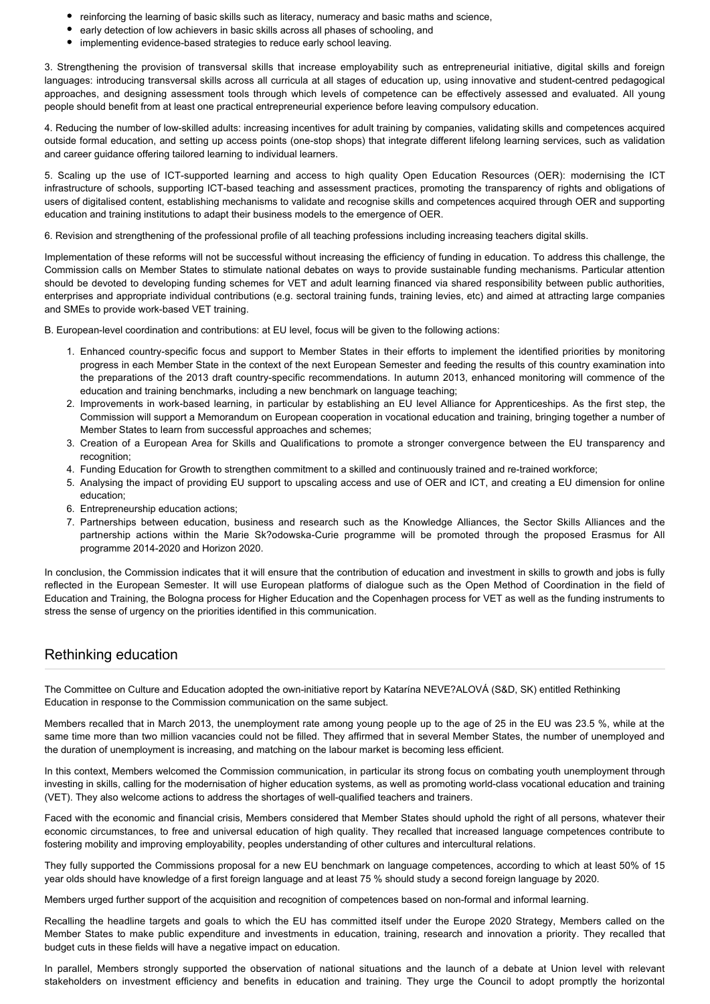- reinforcing the learning of basic skills such as literacy, numeracy and basic maths and science,
- early detection of low achievers in basic skills across all phases of schooling, and
- implementing evidence-based strategies to reduce early school leaving.

3. Strengthening the provision of transversal skills that increase employability such as entrepreneurial initiative, digital skills and foreign languages: introducing transversal skills across all curricula at all stages of education up, using innovative and student-centred pedagogical approaches, and designing assessment tools through which levels of competence can be effectively assessed and evaluated. All young people should benefit from at least one practical entrepreneurial experience before leaving compulsory education.

4. Reducing the number of low-skilled adults: increasing incentives for adult training by companies, validating skills and competences acquired outside formal education, and setting up access points (one-stop shops) that integrate different lifelong learning services, such as validation and career guidance offering tailored learning to individual learners.

5. Scaling up the use of ICT-supported learning and access to high quality Open Education Resources (OER): modernising the ICT infrastructure of schools, supporting ICT-based teaching and assessment practices, promoting the transparency of rights and obligations of users of digitalised content, establishing mechanisms to validate and recognise skills and competences acquired through OER and supporting education and training institutions to adapt their business models to the emergence of OER.

6. Revision and strengthening of the professional profile of all teaching professions including increasing teachers digital skills.

Implementation of these reforms will not be successful without increasing the efficiency of funding in education. To address this challenge, the Commission calls on Member States to stimulate national debates on ways to provide sustainable funding mechanisms. Particular attention should be devoted to developing funding schemes for VET and adult learning financed via shared responsibility between public authorities, enterprises and appropriate individual contributions (e.g. sectoral training funds, training levies, etc) and aimed at attracting large companies and SMEs to provide work-based VET training.

B. European-level coordination and contributions: at EU level, focus will be given to the following actions:

- 1. Enhanced country-specific focus and support to Member States in their efforts to implement the identified priorities by monitoring progress in each Member State in the context of the next European Semester and feeding the results of this country examination into the preparations of the 2013 draft country-specific recommendations. In autumn 2013, enhanced monitoring will commence of the education and training benchmarks, including a new benchmark on language teaching;
- 2. Improvements in work-based learning, in particular by establishing an EU level Alliance for Apprenticeships. As the first step, the Commission will support a Memorandum on European cooperation in vocational education and training, bringing together a number of Member States to learn from successful approaches and schemes;
- 3. Creation of a European Area for Skills and Qualifications to promote a stronger convergence between the EU transparency and recognition:
- 4. Funding Education for Growth to strengthen commitment to a skilled and continuously trained and re-trained workforce;
- 5. Analysing the impact of providing EU support to upscaling access and use of OER and ICT, and creating a EU dimension for online education;
- 6. Entrepreneurship education actions;
- 7. Partnerships between education, business and research such as the Knowledge Alliances, the Sector Skills Alliances and the partnership actions within the Marie Sk?odowska-Curie programme will be promoted through the proposed Erasmus for All programme 2014-2020 and Horizon 2020.

In conclusion, the Commission indicates that it will ensure that the contribution of education and investment in skills to growth and jobs is fully reflected in the European Semester. It will use European platforms of dialogue such as the Open Method of Coordination in the field of Education and Training, the Bologna process for Higher Education and the Copenhagen process for VET as well as the funding instruments to stress the sense of urgency on the priorities identified in this communication.

#### Rethinking education

The Committee on Culture and Education adopted the own-initiative report by Katarína NEVE?ALOVÁ (S&D, SK) entitled Rethinking Education in response to the Commission communication on the same subject.

Members recalled that in March 2013, the unemployment rate among young people up to the age of 25 in the EU was 23.5 %, while at the same time more than two million vacancies could not be filled. They affirmed that in several Member States, the number of unemployed and the duration of unemployment is increasing, and matching on the labour market is becoming less efficient.

In this context, Members welcomed the Commission communication, in particular its strong focus on combating youth unemployment through investing in skills, calling for the modernisation of higher education systems, as well as promoting world-class vocational education and training (VET). They also welcome actions to address the shortages of well-qualified teachers and trainers.

Faced with the economic and financial crisis, Members considered that Member States should uphold the right of all persons, whatever their economic circumstances, to free and universal education of high quality. They recalled that increased language competences contribute to fostering mobility and improving employability, peoples understanding of other cultures and intercultural relations.

They fully supported the Commissions proposal for a new EU benchmark on language competences, according to which at least 50% of 15 year olds should have knowledge of a first foreign language and at least 75 % should study a second foreign language by 2020.

Members urged further support of the acquisition and recognition of competences based on non-formal and informal learning.

Recalling the headline targets and goals to which the EU has committed itself under the Europe 2020 Strategy, Members called on the Member States to make public expenditure and investments in education, training, research and innovation a priority. They recalled that budget cuts in these fields will have a negative impact on education.

In parallel, Members strongly supported the observation of national situations and the launch of a debate at Union level with relevant stakeholders on investment efficiency and benefits in education and training. They urge the Council to adopt promptly the horizontal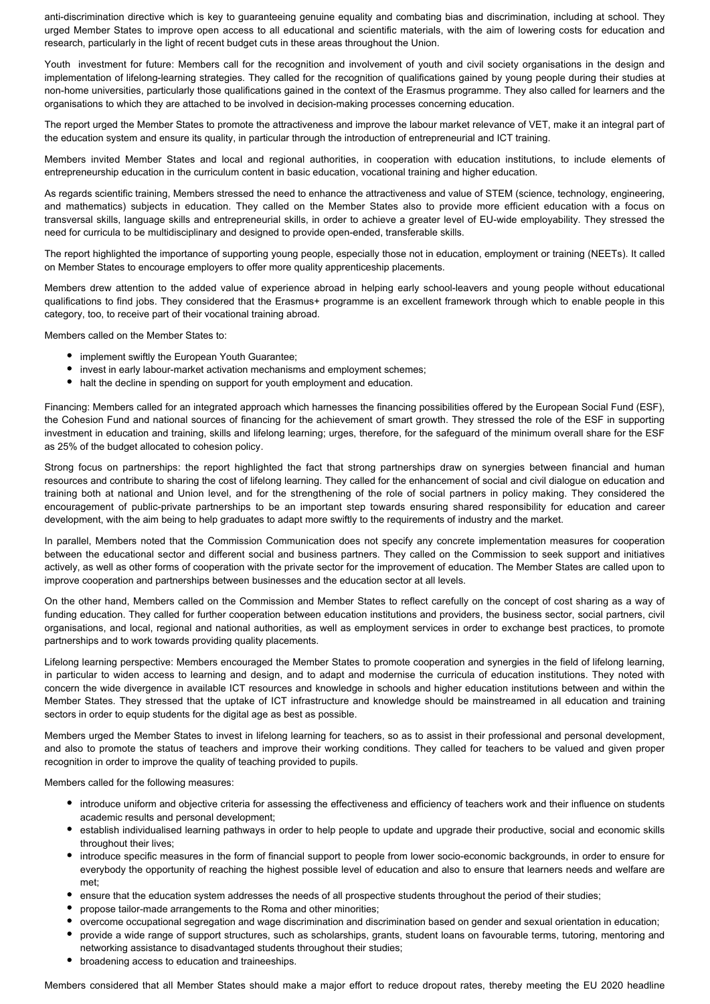anti-discrimination directive which is key to guaranteeing genuine equality and combating bias and discrimination, including at school. They urged Member States to improve open access to all educational and scientific materials, with the aim of lowering costs for education and research, particularly in the light of recent budget cuts in these areas throughout the Union.

Youth investment for future: Members call for the recognition and involvement of youth and civil society organisations in the design and implementation of lifelong-learning strategies. They called for the recognition of qualifications gained by young people during their studies at non-home universities, particularly those qualifications gained in the context of the Erasmus programme. They also called for learners and the organisations to which they are attached to be involved in decision-making processes concerning education.

The report urged the Member States to promote the attractiveness and improve the labour market relevance of VET, make it an integral part of the education system and ensure its quality, in particular through the introduction of entrepreneurial and ICT training.

Members invited Member States and local and regional authorities, in cooperation with education institutions, to include elements of entrepreneurship education in the curriculum content in basic education, vocational training and higher education.

As regards scientific training, Members stressed the need to enhance the attractiveness and value of STEM (science, technology, engineering, and mathematics) subjects in education. They called on the Member States also to provide more efficient education with a focus on transversal skills, language skills and entrepreneurial skills, in order to achieve a greater level of EU-wide employability. They stressed the need for curricula to be multidisciplinary and designed to provide open-ended, transferable skills.

The report highlighted the importance of supporting young people, especially those not in education, employment or training (NEETs). It called on Member States to encourage employers to offer more quality apprenticeship placements.

Members drew attention to the added value of experience abroad in helping early school-leavers and young people without educational qualifications to find jobs. They considered that the Erasmus+ programme is an excellent framework through which to enable people in this category, too, to receive part of their vocational training abroad.

Members called on the Member States to:

- implement swiftly the European Youth Guarantee;
- invest in early labour-market activation mechanisms and employment schemes;
- halt the decline in spending on support for youth employment and education.

Financing: Members called for an integrated approach which harnesses the financing possibilities offered by the European Social Fund (ESF), the Cohesion Fund and national sources of financing for the achievement of smart growth. They stressed the role of the ESF in supporting investment in education and training, skills and lifelong learning; urges, therefore, for the safeguard of the minimum overall share for the ESF as 25% of the budget allocated to cohesion policy.

Strong focus on partnerships: the report highlighted the fact that strong partnerships draw on synergies between financial and human resources and contribute to sharing the cost of lifelong learning. They called for the enhancement of social and civil dialogue on education and training both at national and Union level, and for the strengthening of the role of social partners in policy making. They considered the encouragement of public-private partnerships to be an important step towards ensuring shared responsibility for education and career development, with the aim being to help graduates to adapt more swiftly to the requirements of industry and the market.

In parallel, Members noted that the Commission Communication does not specify any concrete implementation measures for cooperation between the educational sector and different social and business partners. They called on the Commission to seek support and initiatives actively, as well as other forms of cooperation with the private sector for the improvement of education. The Member States are called upon to improve cooperation and partnerships between businesses and the education sector at all levels.

On the other hand, Members called on the Commission and Member States to reflect carefully on the concept of cost sharing as a way of funding education. They called for further cooperation between education institutions and providers, the business sector, social partners, civil organisations, and local, regional and national authorities, as well as employment services in order to exchange best practices, to promote partnerships and to work towards providing quality placements.

Lifelong learning perspective: Members encouraged the Member States to promote cooperation and synergies in the field of lifelong learning, in particular to widen access to learning and design, and to adapt and modernise the curricula of education institutions. They noted with concern the wide divergence in available ICT resources and knowledge in schools and higher education institutions between and within the Member States. They stressed that the uptake of ICT infrastructure and knowledge should be mainstreamed in all education and training sectors in order to equip students for the digital age as best as possible.

Members urged the Member States to invest in lifelong learning for teachers, so as to assist in their professional and personal development, and also to promote the status of teachers and improve their working conditions. They called for teachers to be valued and given proper recognition in order to improve the quality of teaching provided to pupils.

Members called for the following measures:

- introduce uniform and objective criteria for assessing the effectiveness and efficiency of teachers work and their influence on students academic results and personal development;
- establish individualised learning pathways in order to help people to update and upgrade their productive, social and economic skills throughout their lives;
- introduce specific measures in the form of financial support to people from lower socio-economic backgrounds, in order to ensure for everybody the opportunity of reaching the highest possible level of education and also to ensure that learners needs and welfare are met;
- ensure that the education system addresses the needs of all prospective students throughout the period of their studies;
- propose tailor-made arrangements to the Roma and other minorities;
- overcome occupational segregation and wage discrimination and discrimination based on gender and sexual orientation in education;
- provide a wide range of support structures, such as scholarships, grants, student loans on favourable terms, tutoring, mentoring and networking assistance to disadvantaged students throughout their studies;
- broadening access to education and traineeships.

Members considered that all Member States should make a major effort to reduce dropout rates, thereby meeting the EU 2020 headline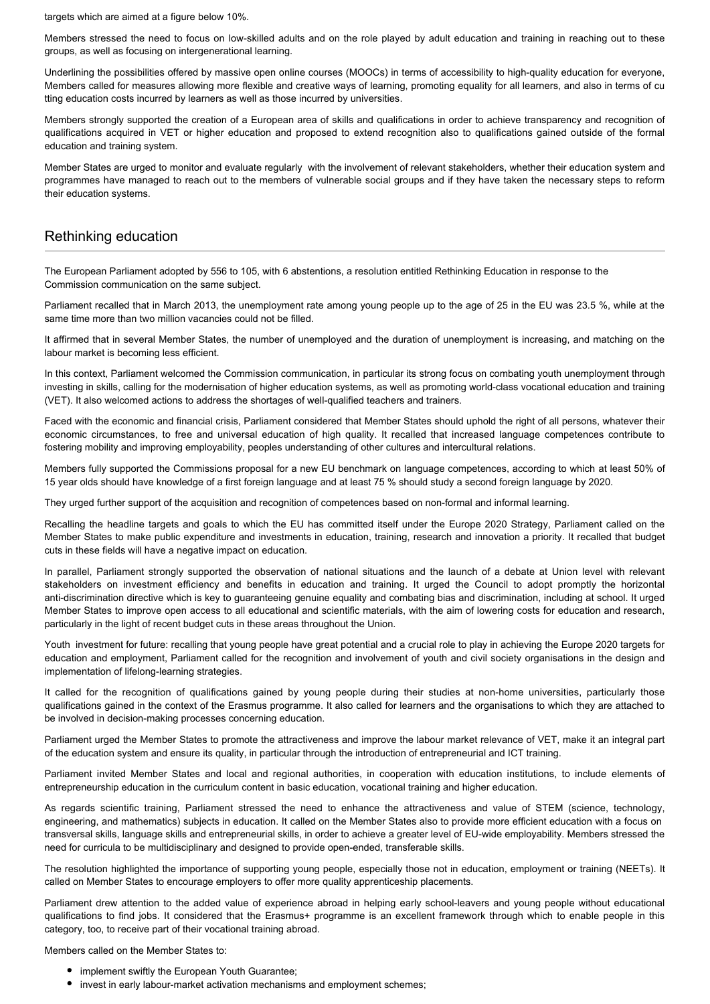targets which are aimed at a figure below 10%.

Members stressed the need to focus on low-skilled adults and on the role played by adult education and training in reaching out to these groups, as well as focusing on intergenerational learning.

Underlining the possibilities offered by massive open online courses (MOOCs) in terms of accessibility to high-quality education for everyone, Members called for measures allowing more flexible and creative ways of learning, promoting equality for all learners, and also in terms of cu tting education costs incurred by learners as well as those incurred by universities.

Members strongly supported the creation of a European area of skills and qualifications in order to achieve transparency and recognition of qualifications acquired in VET or higher education and proposed to extend recognition also to qualifications gained outside of the formal education and training system.

Member States are urged to monitor and evaluate regularly with the involvement of relevant stakeholders, whether their education system and programmes have managed to reach out to the members of vulnerable social groups and if they have taken the necessary steps to reform their education systems.

## Rethinking education

The European Parliament adopted by 556 to 105, with 6 abstentions, a resolution entitled Rethinking Education in response to the Commission communication on the same subject.

Parliament recalled that in March 2013, the unemployment rate among young people up to the age of 25 in the EU was 23.5 %, while at the same time more than two million vacancies could not be filled.

It affirmed that in several Member States, the number of unemployed and the duration of unemployment is increasing, and matching on the labour market is becoming less efficient.

In this context, Parliament welcomed the Commission communication, in particular its strong focus on combating youth unemployment through investing in skills, calling for the modernisation of higher education systems, as well as promoting world-class vocational education and training (VET). It also welcomed actions to address the shortages of well-qualified teachers and trainers.

Faced with the economic and financial crisis, Parliament considered that Member States should uphold the right of all persons, whatever their economic circumstances, to free and universal education of high quality. It recalled that increased language competences contribute to fostering mobility and improving employability, peoples understanding of other cultures and intercultural relations.

Members fully supported the Commissions proposal for a new EU benchmark on language competences, according to which at least 50% of 15 year olds should have knowledge of a first foreign language and at least 75 % should study a second foreign language by 2020.

They urged further support of the acquisition and recognition of competences based on non-formal and informal learning.

Recalling the headline targets and goals to which the EU has committed itself under the Europe 2020 Strategy, Parliament called on the Member States to make public expenditure and investments in education, training, research and innovation a priority. It recalled that budget cuts in these fields will have a negative impact on education.

In parallel, Parliament strongly supported the observation of national situations and the launch of a debate at Union level with relevant stakeholders on investment efficiency and benefits in education and training. It urged the Council to adopt promptly the horizontal anti-discrimination directive which is key to guaranteeing genuine equality and combating bias and discrimination, including at school. It urged Member States to improve open access to all educational and scientific materials, with the aim of lowering costs for education and research, particularly in the light of recent budget cuts in these areas throughout the Union.

Youth investment for future: recalling that young people have great potential and a crucial role to play in achieving the Europe 2020 targets for education and employment, Parliament called for the recognition and involvement of youth and civil society organisations in the design and implementation of lifelong-learning strategies.

It called for the recognition of qualifications gained by young people during their studies at non-home universities, particularly those qualifications gained in the context of the Erasmus programme. It also called for learners and the organisations to which they are attached to be involved in decision-making processes concerning education.

Parliament urged the Member States to promote the attractiveness and improve the labour market relevance of VET, make it an integral part of the education system and ensure its quality, in particular through the introduction of entrepreneurial and ICT training.

Parliament invited Member States and local and regional authorities, in cooperation with education institutions, to include elements of entrepreneurship education in the curriculum content in basic education, vocational training and higher education.

As regards scientific training, Parliament stressed the need to enhance the attractiveness and value of STEM (science, technology, engineering, and mathematics) subjects in education. It called on the Member States also to provide more efficient education with a focus on transversal skills, language skills and entrepreneurial skills, in order to achieve a greater level of EU-wide employability. Members stressed the need for curricula to be multidisciplinary and designed to provide open-ended, transferable skills.

The resolution highlighted the importance of supporting young people, especially those not in education, employment or training (NEETs). It called on Member States to encourage employers to offer more quality apprenticeship placements.

Parliament drew attention to the added value of experience abroad in helping early school-leavers and young people without educational qualifications to find jobs. It considered that the Erasmus+ programme is an excellent framework through which to enable people in this category, too, to receive part of their vocational training abroad.

Members called on the Member States to:

- implement swiftly the European Youth Guarantee;
- invest in early labour-market activation mechanisms and employment schemes;